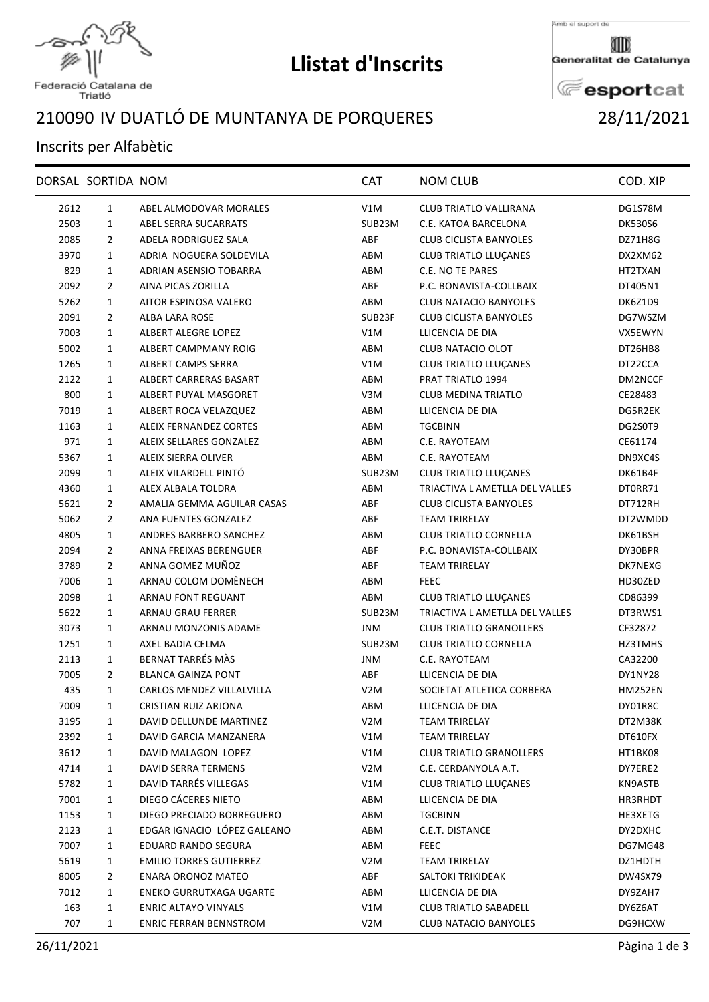

## **Llistat d'Inscrits**

Amb el suport de

Generalitat de Catalunya

**E**esportcat

## Federació Catalana de<br>Triatló

## IV DUATLÓ DE MUNTANYA DE PORQUERES 28/11/2021

## Inscrits per Alfabètic

|      | DORSAL SORTIDA NOM |                                | <b>CAT</b>       | <b>NOM CLUB</b>                | COD. XIP       |
|------|--------------------|--------------------------------|------------------|--------------------------------|----------------|
| 2612 | $\mathbf{1}$       | ABEL ALMODOVAR MORALES         | V1M              | CLUB TRIATLO VALLIRANA         | DG1S78M        |
| 2503 | $\mathbf{1}$       | ABEL SERRA SUCARRATS           | SUB23M           | C.E. KATOA BARCELONA           | <b>DK530S6</b> |
| 2085 | $\overline{2}$     | <b>ADELA RODRIGUEZ SALA</b>    | ABF              | <b>CLUB CICLISTA BANYOLES</b>  | DZ71H8G        |
| 3970 | $\mathbf{1}$       | ADRIA NOGUERA SOLDEVILA        | ABM              | <b>CLUB TRIATLO LLUÇANES</b>   | DX2XM62        |
| 829  | 1                  | ADRIAN ASENSIO TOBARRA         | ABM              | C.E. NO TE PARES               | HT2TXAN        |
| 2092 | 2                  | AINA PICAS ZORILLA             | ABF              | P.C. BONAVISTA-COLLBAIX        | DT405N1        |
| 5262 | $\mathbf{1}$       | AITOR ESPINOSA VALERO          | ABM              | <b>CLUB NATACIO BANYOLES</b>   | DK6Z1D9        |
| 2091 | $\overline{2}$     | ALBA LARA ROSE                 | SUB23F           | CLUB CICLISTA BANYOLES         | DG7WSZM        |
| 7003 | $\mathbf{1}$       | ALBERT ALEGRE LOPEZ            | V1M              | LLICENCIA DE DIA               | VX5EWYN        |
| 5002 | $\mathbf{1}$       | ALBERT CAMPMANY ROIG           | ABM              | CLUB NATACIO OLOT              | DT26HB8        |
| 1265 | 1                  | <b>ALBERT CAMPS SERRA</b>      | V1M              | <b>CLUB TRIATLO LLUÇANES</b>   | DT22CCA        |
| 2122 | $\mathbf{1}$       | ALBERT CARRERAS BASART         | ABM              | PRAT TRIATLO 1994              | DM2NCCF        |
| 800  | $\mathbf{1}$       | ALBERT PUYAL MASGORET          | V3M              | <b>CLUB MEDINA TRIATLO</b>     | CE28483        |
| 7019 | $\mathbf{1}$       | ALBERT ROCA VELAZQUEZ          | ABM              | LLICENCIA DE DIA               | DG5R2EK        |
| 1163 | $\mathbf{1}$       | <b>ALEIX FERNANDEZ CORTES</b>  | ABM              | <b>TGCBINN</b>                 | DG2S0T9        |
| 971  | $\mathbf{1}$       | ALEIX SELLARES GONZALEZ        | ABM              | C.E. RAYOTEAM                  | CE61174        |
| 5367 | 1                  | ALEIX SIERRA OLIVER            | ABM              | C.E. RAYOTEAM                  | DN9XC4S        |
| 2099 | 1                  | ALEIX VILARDELL PINTÓ          | SUB23M           | <b>CLUB TRIATLO LLUÇANES</b>   | DK61B4F        |
| 4360 | $\mathbf{1}$       | ALEX ALBALA TOLDRA             | ABM              | TRIACTIVA L AMETLLA DEL VALLES | DT0RR71        |
| 5621 | $\overline{2}$     | AMALIA GEMMA AGUILAR CASAS     | ABF              | <b>CLUB CICLISTA BANYOLES</b>  | DT712RH        |
| 5062 | $\overline{2}$     | ANA FUENTES GONZALEZ           | ABF              | <b>TEAM TRIRELAY</b>           | DT2WMDD        |
| 4805 | 1                  | ANDRES BARBERO SANCHEZ         | ABM              | <b>CLUB TRIATLO CORNELLA</b>   | DK61BSH        |
| 2094 | $\overline{2}$     | ANNA FREIXAS BERENGUER         | ABF              | P.C. BONAVISTA-COLLBAIX        | DY30BPR        |
| 3789 | $\overline{2}$     | ANNA GOMEZ MUÑOZ               | ABF              | <b>TEAM TRIRELAY</b>           | DK7NEXG        |
| 7006 | $\mathbf{1}$       | ARNAU COLOM DOMÉNECH           | ABM              | <b>FEEC</b>                    | HD30ZED        |
| 2098 | $\mathbf{1}$       | ARNAU FONT REGUANT             | ABM              | CLUB TRIATLO LLUÇANES          | CD86399        |
| 5622 | $\mathbf{1}$       | ARNAU GRAU FERRER              | SUB23M           | TRIACTIVA L AMETLLA DEL VALLES | DT3RWS1        |
| 3073 | 1                  | ARNAU MONZONIS ADAME           | <b>JNM</b>       | <b>CLUB TRIATLO GRANOLLERS</b> | CF32872        |
| 1251 | 1                  | AXEL BADIA CELMA               | SUB23M           | <b>CLUB TRIATLO CORNELLA</b>   | HZ3TMHS        |
| 2113 | $\mathbf{1}$       | BERNAT TARRÉS MÀS              | <b>JNM</b>       | C.E. RAYOTEAM                  | CA32200        |
| 7005 | $\overline{2}$     | <b>BLANCA GAINZA PONT</b>      | ABF              | LLICENCIA DE DIA               | DY1NY28        |
| 435  | $\mathbf{1}$       | CARLOS MENDEZ VILLALVILLA      | V <sub>2</sub> M | SOCIETAT ATLETICA CORBERA      | <b>HM252EN</b> |
| 7009 | 1                  | CRISTIAN RUIZ ARJONA           | ABM              | LLICENCIA DE DIA               | DY01R8C        |
| 3195 | 1                  | DAVID DELLUNDE MARTINEZ        | V <sub>2</sub> M | <b>TEAM TRIRELAY</b>           | DT2M38K        |
| 2392 | 1                  | DAVID GARCIA MANZANERA         | V1M              | TEAM TRIRELAY                  | DT610FX        |
| 3612 | 1                  | DAVID MALAGON LOPEZ            | V1M              | <b>CLUB TRIATLO GRANOLLERS</b> | HT1BK08        |
| 4714 | 1                  | DAVID SERRA TERMENS            | V <sub>2</sub> M | C.E. CERDANYOLA A.T.           | DY7ERE2        |
| 5782 | 1                  | DAVID TARRÉS VILLEGAS          | V1M              | <b>CLUB TRIATLO LLUÇANES</b>   | KN9ASTB        |
| 7001 | 1                  | DIEGO CÁCERES NIETO            | ABM              | LLICENCIA DE DIA               | HR3RHDT        |
| 1153 | 1                  | DIEGO PRECIADO BORREGUERO      | ABM              | TGCBINN                        | HE3XETG        |
| 2123 | $\mathbf{1}$       | EDGAR IGNACIO LÓPEZ GALEANO    | ABM              | C.E.T. DISTANCE                | DY2DXHC        |
| 7007 | 1                  | <b>EDUARD RANDO SEGURA</b>     | ABM              | <b>FEEC</b>                    | DG7MG48        |
| 5619 | 1                  | <b>EMILIO TORRES GUTIERREZ</b> | V <sub>2</sub> M | <b>TEAM TRIRELAY</b>           | DZ1HDTH        |
| 8005 | 2                  | ENARA ORONOZ MATEO             | ABF              | SALTOKI TRIKIDEAK              | DW4SX79        |
| 7012 | 1                  | ENEKO GURRUTXAGA UGARTE        | ABM              | LLICENCIA DE DIA               | DY9ZAH7        |
| 163  | 1                  | ENRIC ALTAYO VINYALS           | V1M              | <b>CLUB TRIATLO SABADELL</b>   | DY6Z6AT        |
| 707  | 1                  | ENRIC FERRAN BENNSTROM         | V <sub>2</sub> M | CLUB NATACIO BANYOLES          | DG9HCXW        |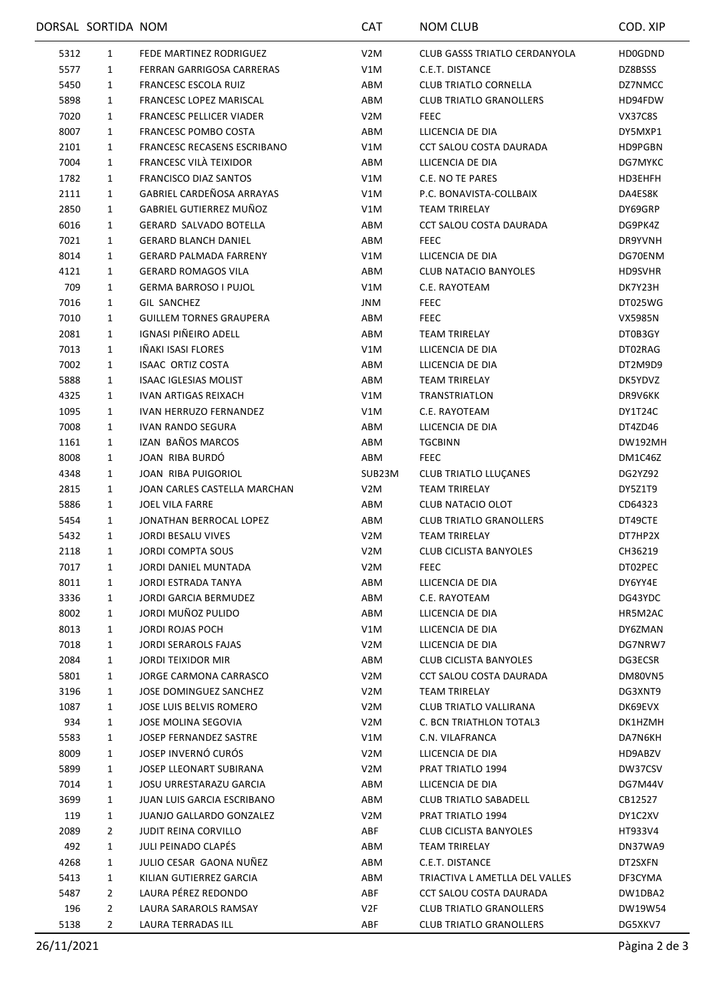|      | DORSAL SORTIDA NOM |                                    | CAT              | <b>NOM CLUB</b>                | COD. XIP       |
|------|--------------------|------------------------------------|------------------|--------------------------------|----------------|
| 5312 | 1                  | FEDE MARTINEZ RODRIGUEZ            | V <sub>2</sub> M | CLUB GASSS TRIATLO CERDANYOLA  | HD0GDND        |
| 5577 | 1                  | FERRAN GARRIGOSA CARRERAS          | V1M              | C.E.T. DISTANCE                | DZ8BSSS        |
| 5450 | 1                  | <b>FRANCESC ESCOLA RUIZ</b>        | ABM              | <b>CLUB TRIATLO CORNELLA</b>   | DZ7NMCC        |
| 5898 | 1                  | FRANCESC LOPEZ MARISCAL            | ABM              | <b>CLUB TRIATLO GRANOLLERS</b> | HD94FDW        |
| 7020 | 1                  | <b>FRANCESC PELLICER VIADER</b>    | V2M              | <b>FEEC</b>                    | VX37C8S        |
| 8007 | 1                  | FRANCESC POMBO COSTA               | ABM              | LLICENCIA DE DIA               | DY5MXP1        |
| 2101 | 1                  | <b>FRANCESC RECASENS ESCRIBANO</b> | V1M              | CCT SALOU COSTA DAURADA        | HD9PGBN        |
| 7004 | 1                  | FRANCESC VILA TEIXIDOR             | ABM              | LLICENCIA DE DIA               | DG7MYKC        |
| 1782 | 1                  | <b>FRANCISCO DIAZ SANTOS</b>       | V1M              | C.E. NO TE PARES               | HD3EHFH        |
| 2111 | 1                  | GABRIEL CARDEÑOSA ARRAYAS          | V1M              | P.C. BONAVISTA-COLLBAIX        | DA4ES8K        |
| 2850 | 1                  | GABRIEL GUTIERREZ MUÑOZ            | V1M              | <b>TEAM TRIRELAY</b>           | DY69GRP        |
| 6016 | 1                  | <b>GERARD SALVADO BOTELLA</b>      | ABM              | CCT SALOU COSTA DAURADA        | DG9PK4Z        |
| 7021 | 1                  | <b>GERARD BLANCH DANIEL</b>        | ABM              | <b>FEEC</b>                    | DR9YVNH        |
| 8014 | 1                  | <b>GERARD PALMADA FARRENY</b>      | V1M              | LLICENCIA DE DIA               | DG70ENM        |
| 4121 | 1                  | <b>GERARD ROMAGOS VILA</b>         | ABM              | CLUB NATACIO BANYOLES          | HD9SVHR        |
| 709  | 1                  | <b>GERMA BARROSO I PUJOL</b>       | V1M              | C.E. RAYOTEAM                  | DK7Y23H        |
| 7016 | 1                  | <b>GIL SANCHEZ</b>                 | JNM              | <b>FEEC</b>                    | DT025WG        |
| 7010 | 1                  | <b>GUILLEM TORNES GRAUPERA</b>     | ABM              | <b>FEEC</b>                    | VX5985N        |
| 2081 | 1                  | IGNASI PIÑEIRO ADELL               | ABM              | TEAM TRIRELAY                  | DT0B3GY        |
| 7013 | 1                  | IÑAKI ISASI FLORES                 | V1M              | LLICENCIA DE DIA               | DT02RAG        |
| 7002 | 1                  | <b>ISAAC ORTIZ COSTA</b>           | ABM              | LLICENCIA DE DIA               | DT2M9D9        |
|      |                    |                                    |                  |                                |                |
| 5888 | 1                  | <b>ISAAC IGLESIAS MOLIST</b>       | ABM              | <b>TEAM TRIRELAY</b>           | DK5YDVZ        |
| 4325 | 1                  | <b>IVAN ARTIGAS REIXACH</b>        | V1M              | TRANSTRIATLON                  | DR9V6KK        |
| 1095 | 1                  | <b>IVAN HERRUZO FERNANDEZ</b>      | V1M              | C.E. RAYOTEAM                  | DY1T24C        |
| 7008 | 1                  | IVAN RANDO SEGURA                  | ABM              | LLICENCIA DE DIA               | DT4ZD46        |
| 1161 | 1                  | IZAN BAÑOS MARCOS                  | ABM              | <b>TGCBINN</b>                 | <b>DW192MH</b> |
| 8008 | 1                  | JOAN RIBA BURDO                    | ABM              | <b>FEEC</b>                    | DM1C46Z        |
| 4348 | 1                  | JOAN RIBA PUIGORIOL                | SUB23M           | <b>CLUB TRIATLO LLUÇANES</b>   | DG2YZ92        |
| 2815 | 1                  | JOAN CARLES CASTELLA MARCHAN       | V <sub>2</sub> M | <b>TEAM TRIRELAY</b>           | DY5Z1T9        |
| 5886 | 1                  | <b>JOEL VILA FARRE</b>             | ABM              | CLUB NATACIO OLOT              | CD64323        |
| 5454 | 1                  | JONATHAN BERROCAL LOPEZ            | ABM              | <b>CLUB TRIATLO GRANOLLERS</b> | DT49CTE        |
| 5432 | 1                  | JORDI BESALU VIVES                 | V <sub>2</sub> M | <b>TEAM TRIRELAY</b>           | DT7HP2X        |
| 2118 | 1                  | <b>JORDI COMPTA SOUS</b>           | V <sub>2</sub> M | CLUB CICLISTA BANYOLES         | CH36219        |
| 7017 | 1                  | JORDI DANIEL MUNTADA               | V <sub>2</sub> M | <b>FEEC</b>                    | DT02PEC        |
| 8011 | 1                  | JORDI ESTRADA TANYA                | ABM              | LLICENCIA DE DIA               | DY6YY4E        |
| 3336 | 1                  | JORDI GARCIA BERMUDEZ              | ABM              | C.E. RAYOTEAM                  | DG43YDC        |
| 8002 | 1                  | JORDI MUÑOZ PULIDO                 | ABM              | LLICENCIA DE DIA               | HR5M2AC        |
| 8013 | 1                  | JORDI ROJAS POCH                   | V1M              | LLICENCIA DE DIA               | DY6ZMAN        |
| 7018 | 1                  | <b>JORDI SERAROLS FAJAS</b>        | V <sub>2</sub> M | LLICENCIA DE DIA               | DG7NRW7        |
| 2084 | 1                  | <b>JORDI TEIXIDOR MIR</b>          | ABM              | <b>CLUB CICLISTA BANYOLES</b>  | DG3ECSR        |
| 5801 | 1                  | JORGE CARMONA CARRASCO             | V <sub>2</sub> M | CCT SALOU COSTA DAURADA        | DM80VN5        |
| 3196 | $\mathbf{1}$       | JOSE DOMINGUEZ SANCHEZ             | V2M              | <b>TEAM TRIRELAY</b>           | DG3XNT9        |
| 1087 | 1                  | JOSE LUIS BELVIS ROMERO            | V2M              | CLUB TRIATLO VALLIRANA         | DK69EVX        |
| 934  | 1                  | JOSE MOLINA SEGOVIA                | V <sub>2</sub> M | C. BCN TRIATHLON TOTAL3        | DK1HZMH        |
| 5583 | 1                  | JOSEP FERNANDEZ SASTRE             | V1M              | C.N. VILAFRANCA                | DA7N6KH        |
| 8009 | 1                  | JOSEP INVERNÓ CURÓS                | V <sub>2</sub> M | LLICENCIA DE DIA               | HD9ABZV        |
| 5899 | 1                  | JOSEP LLEONART SUBIRANA            | V2M              | PRAT TRIATLO 1994              | DW37CSV        |
| 7014 | 1                  | <b>JOSU URRESTARAZU GARCIA</b>     | ABM              | LLICENCIA DE DIA               | DG7M44V        |
| 3699 | $\mathbf{1}$       | JUAN LUIS GARCIA ESCRIBANO         | ABM              | <b>CLUB TRIATLO SABADELL</b>   | CB12527        |
| 119  | 1                  | <b>JUANJO GALLARDO GONZALEZ</b>    | V <sub>2</sub> M | PRAT TRIATLO 1994              | DY1C2XV        |
| 2089 | 2                  | JUDIT REINA CORVILLO               | ABF              | <b>CLUB CICLISTA BANYOLES</b>  | HT933V4        |
| 492  | 1                  | JULI PEINADO CLAPÉS                | ABM              | <b>TEAM TRIRELAY</b>           | DN37WA9        |
| 4268 | 1                  | JULIO CESAR GAONA NUÑEZ            | ABM              | C.E.T. DISTANCE                | DT2SXFN        |
| 5413 | $\mathbf{1}$       | KILIAN GUTIERREZ GARCIA            | ABM              | TRIACTIVA L AMETLLA DEL VALLES | DF3CYMA        |
| 5487 | 2                  | LAURA PÉREZ REDONDO                | ABF              | CCT SALOU COSTA DAURADA        | DW1DBA2        |
| 196  | 2                  | LAURA SARAROLS RAMSAY              | V2F              | <b>CLUB TRIATLO GRANOLLERS</b> | DW19W54        |
| 5138 | $\overline{2}$     | LAURA TERRADAS ILL                 | ABF              | <b>CLUB TRIATLO GRANOLLERS</b> | DG5XKV7        |
|      |                    |                                    |                  |                                |                |